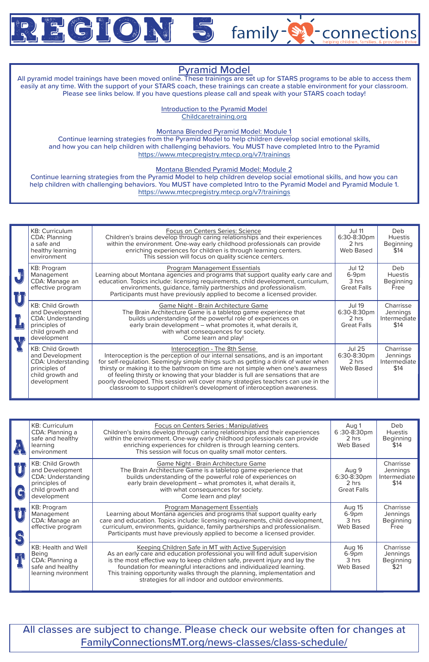

|                 | <b>KB: Curriculum</b><br><b>CDA: Planning</b><br>a safe and<br>healthy learning<br>environment                              | Focus on Centers Series: Science<br>Children's brains develop through caring relationships and their experiences<br>within the environment. One-way early childhood professionals can provide<br>enriching experiences for children is through learning centers.<br>This session will focus on quality science centers.                                                                                                                                                                                                                      | <b>Jul 11</b><br>6:30-8:30pm<br>2 hrs<br>Web Based          | <b>Deb</b><br><b>Huestis</b><br><b>Beginning</b><br>\$14 |
|-----------------|-----------------------------------------------------------------------------------------------------------------------------|----------------------------------------------------------------------------------------------------------------------------------------------------------------------------------------------------------------------------------------------------------------------------------------------------------------------------------------------------------------------------------------------------------------------------------------------------------------------------------------------------------------------------------------------|-------------------------------------------------------------|----------------------------------------------------------|
|                 | KB: Program<br>Management<br>CDA: Manage an<br>effective program                                                            | Program Management Essentials<br>Learning about Montana agencies and programs that support quality early care and<br>education. Topics include: licensing requirements, child development, curriculum,<br>environments, guidance, family partnerships and professionalism.<br>Participants must have previously applied to become a licensed provider.                                                                                                                                                                                       | <b>Jul 12</b><br>6-9pm<br>3 hrs<br><b>Great Falls</b>       | <b>Deb</b><br><b>Huestis</b><br>Beginning<br>Free        |
| ॣॏ <sub>ॣ</sub> | <b>KB: Child Growth</b><br>and Development<br><b>CDA: Understanding</b><br>principles of<br>child growth and<br>development | Game Night - Brain Architecture Game<br>The Brain Architecture Game is a tabletop game experience that<br>builds understanding of the powerful role of experiences on<br>early brain development - what promotes it, what derails it,<br>with what consequences for society.<br>Come learn and play!                                                                                                                                                                                                                                         | <b>Jul 19</b><br>6:30-8:30pm<br>2 hrs<br><b>Great Falls</b> | Charrisse<br>Jennings<br>Intermediate<br>\$14            |
|                 | <b>KB: Child Growth</b><br>and Development<br><b>CDA: Understanding</b><br>principles of<br>child growth and<br>development | Interoception - The 8th Sense<br>Interoception is the perception of our internal sensations, and is an important<br>for self-regulation. Seemingly simple things such as getting a drink of water when<br>thirsty or making it to the bathroom on time are not simple when one's awarness<br>of feeling thirsty or knowing that your bladder is full are sensations that are<br>poorly developed. This session will cover many strategies teachers can use in the<br>classroom to support children's development of interoception awareness. | <b>Jul 25</b><br>6:30-8:30pm<br>2 hrs<br><b>Web Based</b>   | Charrisse<br>Jennings<br>Intermediate<br>\$14            |

|                                                                 | <b>KB: Curriculum</b><br>CDA: Planning a<br>safe and healthy<br>learning<br>environment                                     | <b>Focus on Centers Series: Manipulatives</b><br>Children's brains develop through caring relationships and their experiences<br>within the environment. One-way early childhood professionals can provide<br>enriching experiences for children is through learning centers.<br>This session will focus on quality small motor centers.                                                                                    | Aug 1<br>6:30-8:30pm<br>2 hrs<br><b>Web Based</b>   | Deb<br><b>Huestis</b><br><b>Beginning</b><br>\$14 |
|-----------------------------------------------------------------|-----------------------------------------------------------------------------------------------------------------------------|-----------------------------------------------------------------------------------------------------------------------------------------------------------------------------------------------------------------------------------------------------------------------------------------------------------------------------------------------------------------------------------------------------------------------------|-----------------------------------------------------|---------------------------------------------------|
| UJ<br>$\left(\begin{smallmatrix} 1\\ 0\end{smallmatrix}\right)$ | <b>KB: Child Growth</b><br>and Development<br><b>CDA: Understanding</b><br>principles of<br>child growth and<br>development | Game Night - Brain Architecture Game<br>The Brain Architecture Game is a tabletop game experience that<br>builds understanding of the powerful role of experiences on<br>early brain development - what promotes it, what derails it,<br>with what consequences for society.<br>Come learn and play!                                                                                                                        | Aug 9<br>6:30-8:30pm<br>2 hrs<br><b>Great Falls</b> | Charrisse<br>Jennings<br>Intermediate<br>\$14     |
| $\bigcup \limits$<br>$\mathbf{C}$                               | KB: Program<br>Management<br>CDA: Manage an<br>effective program                                                            | <b>Program Management Essentials</b><br>Learning about Montana agencies and programs that support quality early<br>care and education. Topics include: licensing requirements, child development,<br>curriculum, environments, guidance, family partnerships and professionalism.<br>Participants must have previously applied to become a licensed provider.                                                               | Aug 15<br>6-9pm<br>3 hrs<br>Web Based               | Charrisse<br><b>Jennings</b><br>Beginning<br>Free |
| ڸ۩                                                              | <b>KB: Health and Well</b><br>Being<br>CDA: Planning a<br>safe and healthy<br>learning nvironment                           | Keeping Children Safe in MT with Active Supervision<br>As an early care and education professional you will find adult supervision<br>is the most effective way to keep children safe, prevent injury and lay the<br>foundation for meaningful interactions and individualized learning.<br>This training opportunity walks through the planning, implementation and<br>strategies for all indoor and outdoor environments. | Aug 16<br>6-9pm<br>3 hrs<br>Web Based               | Charrisse<br><b>Jennings</b><br>Beginning<br>\$21 |

All classes are subject to change. Please check our website often for changes at FamilyConnectionsMT.org/news-classes/class-schedule/

## Pyramid Model

family-

connections

All pyramid model trainings have been moved online. These trainings are set up for STARS programs to be able to access them easily at any time. With the support of your STARS coach, these trainings can create a stable environment for your classroom. Please see links below. If you have questions please call and speak with your STARS coach today!

> Introduction to the Pyramid Model Childcaretraining.org

Montana Blended Pyramid Model: Module 1

Continue learning strategies from the Pyramid Model to help children develop social emotional skills, and how you can help children with challenging behaviors. You MUST have completed Intro to the Pyramid https://www.mtecpregistry.mtecp.org/v7/trainings

Montana Blended Pyramid Model: Module 2

Continue learning strategies from the Pyramid Model to help children develop social emotional skills, and how you can help children with challenging behaviors. You MUST have completed Intro to the Pyramid Model and Pyramid Module 1. https://www.mtecpregistry.mtecp.org/v7/trainings